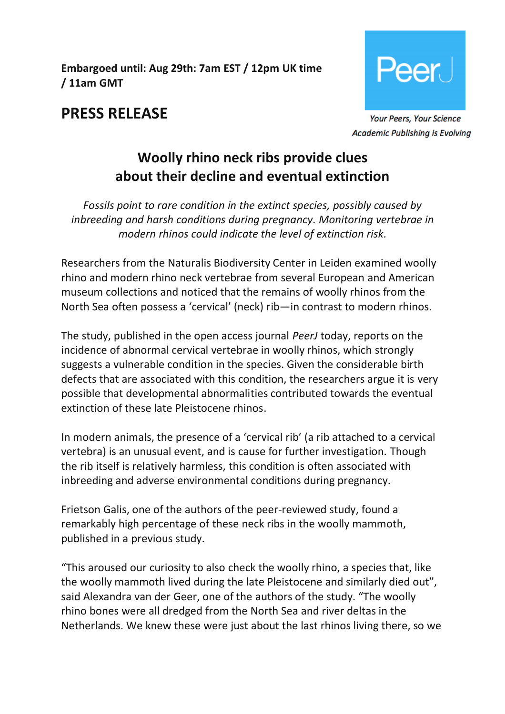**Embargoed until: Aug 29th: 7am EST / 12pm UK time / 11am GMT**



## **PRESS RELEASE**

Academic Publishing is Evolving

# **Woolly rhino neck ribs provide clues about their decline and eventual extinction**

*Fossils point to rare condition in the extinct species, possibly caused by inbreeding and harsh conditions during pregnancy. Monitoring vertebrae in modern rhinos could indicate the level of extinction risk.*

Researchers from the Naturalis Biodiversity Center in Leiden examined woolly rhino and modern rhino neck vertebrae from several European and American museum collections and noticed that the remains of woolly rhinos from the North Sea often possess a 'cervical' (neck) rib—in contrast to modern rhinos.

The study, published in the open access journal *PeerJ* today, reports on the incidence of abnormal cervical vertebrae in woolly rhinos, which strongly suggests a vulnerable condition in the species. Given the considerable birth defects that are associated with this condition, the researchers argue it is very possible that developmental abnormalities contributed towards the eventual extinction of these late Pleistocene rhinos.

In modern animals, the presence of a 'cervical rib' (a rib attached to a cervical vertebra) is an unusual event, and is cause for further investigation. Though the rib itself is relatively harmless, this condition is often associated with inbreeding and adverse environmental conditions during pregnancy.

Frietson Galis, one of the authors of the peer-reviewed study, found a remarkably high percentage of these neck ribs in the woolly mammoth, published in a previous study.

"This aroused our curiosity to also check the woolly rhino, a species that, like the woolly mammoth lived during the late Pleistocene and similarly died out", said Alexandra van der Geer, one of the authors of the study. "The woolly rhino bones were all dredged from the North Sea and river deltas in the Netherlands. We knew these were just about the last rhinos living there, so we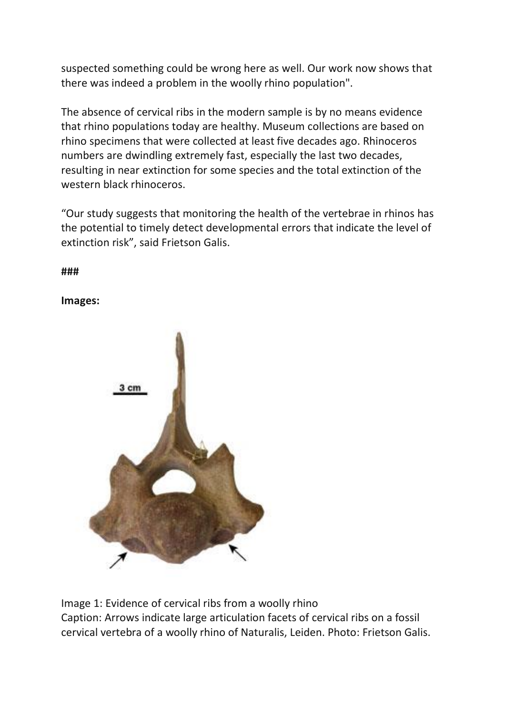suspected something could be wrong here as well. Our work now shows that there was indeed a problem in the woolly rhino population".

The absence of cervical ribs in the modern sample is by no means evidence that rhino populations today are healthy. Museum collections are based on rhino specimens that were collected at least five decades ago. Rhinoceros numbers are dwindling extremely fast, especially the last two decades, resulting in near extinction for some species and the total extinction of the western black rhinoceros.

"Our study suggests that monitoring the health of the vertebrae in rhinos has the potential to timely detect developmental errors that indicate the level of extinction risk", said Frietson Galis.

**###**

#### **Images:**



Image 1: Evidence of cervical ribs from a woolly rhino Caption: Arrows indicate large articulation facets of cervical ribs on a fossil cervical vertebra of a woolly rhino of Naturalis, Leiden. Photo: Frietson Galis.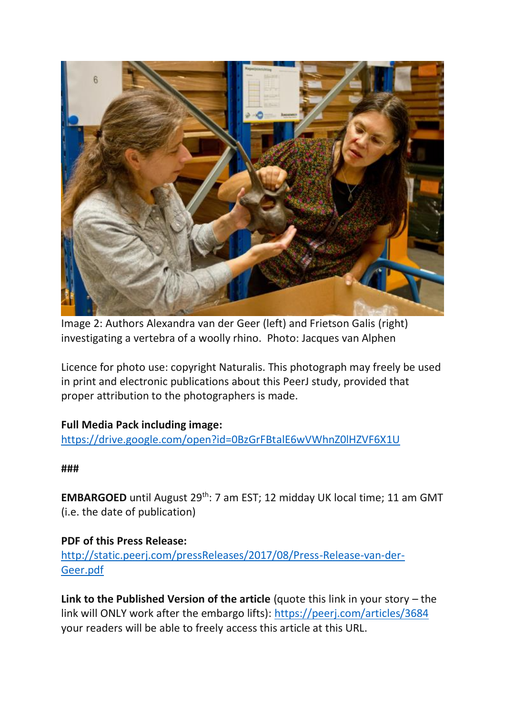

Image 2: Authors Alexandra van der Geer (left) and Frietson Galis (right) investigating a vertebra of a woolly rhino. Photo: Jacques van Alphen

Licence for photo use: copyright Naturalis. This photograph may freely be used in print and electronic publications about this PeerJ study, provided that proper attribution to the photographers is made.

#### **Full Media Pack including image:**

<https://drive.google.com/open?id=0BzGrFBtalE6wVWhnZ0lHZVF6X1U>

#### **###**

**EMBARGOED** until August 29<sup>th</sup>: 7 am EST; 12 midday UK local time; 11 am GMT (i.e. the date of publication)

#### **PDF of this Press Release:**

[http://static.peerj.com/pressReleases/2017/08/Press-Release-van-der-](http://static.peerj.com/pressReleases/2017/08/Press-Release-van-der-Geer.pdf)[Geer.pdf](http://static.peerj.com/pressReleases/2017/08/Press-Release-van-der-Geer.pdf)

**Link to the Published Version of the article** (quote this link in your story – the link will ONLY work after the embargo lifts): <https://peerj.com/articles/3684> your readers will be able to freely access this article at this URL.